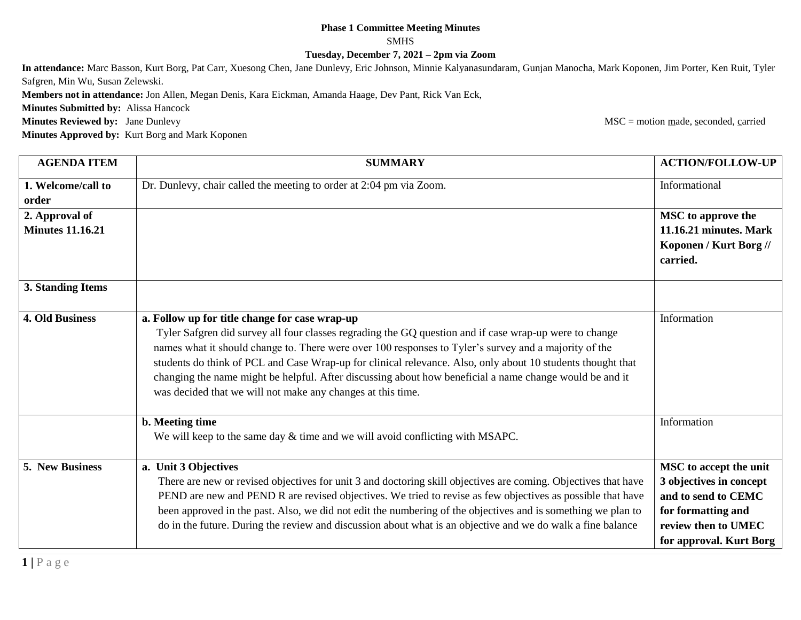## **Phase 1 Committee Meeting Minutes**

SMHS

**Tuesday, December 7, 2021 – 2pm via Zoom**

**In attendance:** Marc Basson, Kurt Borg, Pat Carr, Xuesong Chen, Jane Dunlevy, Eric Johnson, Minnie Kalyanasundaram, Gunjan Manocha, Mark Koponen, Jim Porter, Ken Ruit, Tyler Safgren, Min Wu, Susan Zelewski.

**Members not in attendance:** Jon Allen, Megan Denis, Kara Eickman, Amanda Haage, Dev Pant, Rick Van Eck,

**Minutes Submitted by:** Alissa Hancock

**Minutes Reviewed by:** Jane Dunlevy **MSC** = motion made, seconded, carried

**Minutes Approved by:** Kurt Borg and Mark Koponen

**AGENDA ITEM SUMMARY ACTION/FOLLOW-UP 1. Welcome/call to order** Dr. Dunlevy, chair called the meeting to order at 2:04 pm via Zoom. Informational **2. Approval of Minutes 11.16.21 MSC to approve the 11.16.21 minutes. Mark Koponen / Kurt Borg // carried. 3. Standing Items 4. Old Business a. Follow up for title change for case wrap-up** Tyler Safgren did survey all four classes regrading the GQ question and if case wrap-up were to change names what it should change to. There were over 100 responses to Tyler's survey and a majority of the students do think of PCL and Case Wrap-up for clinical relevance. Also, only about 10 students thought that changing the name might be helpful. After discussing about how beneficial a name change would be and it was decided that we will not make any changes at this time. Information **b. Meeting time** We will keep to the same day  $&$  time and we will avoid conflicting with MSAPC. Information **5. New Business a. Unit 3 Objectives** There are new or revised objectives for unit 3 and doctoring skill objectives are coming. Objectives that have PEND are new and PEND R are revised objectives. We tried to revise as few objectives as possible that have been approved in the past. Also, we did not edit the numbering of the objectives and is something we plan to do in the future. During the review and discussion about what is an objective and we do walk a fine balance **MSC to accept the unit 3 objectives in concept and to send to CEMC for formatting and review then to UMEC for approval. Kurt Borg**